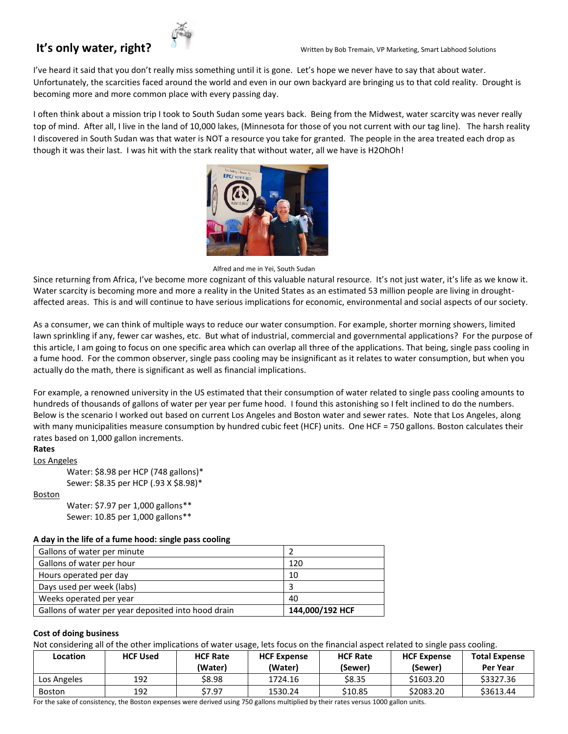I've heard it said that you don't really miss something until it is gone. Let's hope we never have to say that about water. Unfortunately, the scarcities faced around the world and even in our own backyard are bringing us to that cold reality. Drought is becoming more and more common place with every passing day.

I often think about a mission trip I took to South Sudan some years back. Being from the Midwest, water scarcity was never really top of mind. After all, I live in the land of 10,000 lakes, (Minnesota for those of you not current with our tag line). The harsh reality I discovered in South Sudan was that water is NOT a resource you take for granted. The people in the area treated each drop as though it was their last. I was hit with the stark reality that without water, all we have is H2OhOh!



Alfred and me in Yei, South Sudan

Since returning from Africa, I've become more cognizant of this valuable natural resource. It's not just water, it's life as we know it. Water scarcity is becoming more and more a reality in the United States as an estimated 53 million people are living in droughtaffected areas. This is and will continue to have serious implications for economic, environmental and social aspects of our society.

As a consumer, we can think of multiple ways to reduce our water consumption. For example, shorter morning showers, limited lawn sprinkling if any, fewer car washes, etc. But what of industrial, commercial and governmental applications? For the purpose of this article, I am going to focus on one specific area which can overlap all three of the applications. That being, single pass cooling in a fume hood. For the common observer, single pass cooling may be insignificant as it relates to water consumption, but when you actually do the math, there is significant as well as financial implications.

For example, a renowned university in the US estimated that their consumption of water related to single pass cooling amounts to hundreds of thousands of gallons of water per year per fume hood. I found this astonishing so I felt inclined to do the numbers. Below is the scenario I worked out based on current Los Angeles and Boston water and sewer rates. Note that Los Angeles, along with many municipalities measure consumption by hundred cubic feet (HCF) units. One HCF = 750 gallons. Boston calculates their rates based on 1,000 gallon increments.

# **Rates**

Los Angeles

Water: \$8.98 per HCP (748 gallons)\* Sewer: \$8.35 per HCP (.93 X \$8.98)\*

### Boston

Water: \$7.97 per 1,000 gallons\*\* Sewer: 10.85 per 1,000 gallons\*\*

# **A day in the life of a fume hood: single pass cooling**

| Gallons of water per minute                         |                 |
|-----------------------------------------------------|-----------------|
| Gallons of water per hour                           | 120             |
| Hours operated per day                              | 10              |
| Days used per week (labs)                           |                 |
| Weeks operated per year                             | 40              |
| Gallons of water per year deposited into hood drain | 144,000/192 HCF |

### **Cost of doing business**

Not considering all of the other implications of water usage, lets focus on the financial aspect related to single pass cooling.

| Location      | <b>HCF Used</b> | <b>HCF Rate</b><br>(Water) | <b>HCF Expense</b><br>(Water) | <b>HCF Rate</b><br>(Sewer) | <b>HCF Expense</b><br>(Sewer) | <b>Total Expense</b><br><b>Per Year</b> |
|---------------|-----------------|----------------------------|-------------------------------|----------------------------|-------------------------------|-----------------------------------------|
| Los Angeles   | 192             | \$8.98                     | 1724.16                       | <b>S8.35</b>               | \$1603.20                     | \$3327.36                               |
| <b>Boston</b> | 192             | \$7.97                     | 1530.24                       | \$10.85                    | \$2083.20                     | \$3613.44                               |
|               |                 |                            |                               | .                          |                               |                                         |

For the sake of consistency, the Boston expenses were derived using 750 gallons multiplied by their rates versus 1000 gallon units.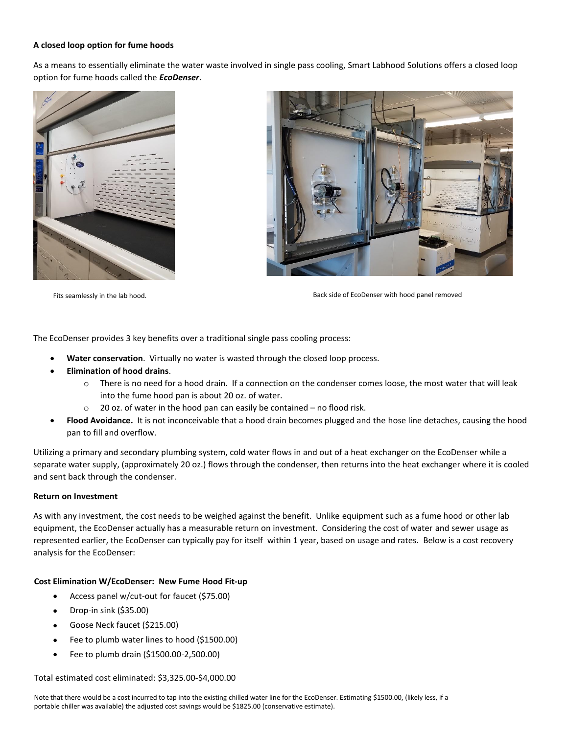# **A closed loop option for fume hoods**

As a means to essentially eliminate the water waste involved in single pass cooling, Smart Labhood Solutions offers a closed loop option for fume hoods called the *EcoDenser*.





Fits seamlessly in the lab hood. Back side of EcoDenser with hood panel removed

The EcoDenser provides 3 key benefits over a traditional single pass cooling process:

- **Water conservation**. Virtually no water is wasted through the closed loop process.
- **Elimination of hood drains**.
	- $\circ$  There is no need for a hood drain. If a connection on the condenser comes loose, the most water that will leak into the fume hood pan is about 20 oz. of water.
	- $\circ$  20 oz. of water in the hood pan can easily be contained no flood risk.
- **Flood Avoidance.** It is not inconceivable that a hood drain becomes plugged and the hose line detaches, causing the hood pan to fill and overflow.

Utilizing a primary and secondary plumbing system, cold water flows in and out of a heat exchanger on the EcoDenser while a separate water supply, (approximately 20 oz.) flows through the condenser, then returns into the heat exchanger where it is cooled and sent back through the condenser.

### **Return on Investment**

As with any investment, the cost needs to be weighed against the benefit. Unlike equipment such as a fume hood or other lab equipment, the EcoDenser actually has a measurable return on investment. Considering the cost of water and sewer usage as represented earlier, the EcoDenser can typically pay for itself within 1 year, based on usage and rates. Below is a cost recovery analysis for the EcoDenser:

### **Cost Elimination W/EcoDenser: New Fume Hood Fit-up**

- Access panel w/cut-out for faucet (\$75.00)
- Drop-in sink (\$35.00)
- Goose Neck faucet (\$215.00)
- Fee to plumb water lines to hood (\$1500.00)
- Fee to plumb drain (\$1500.00-2,500.00)

Total estimated cost eliminated: \$3,325.00-\$4,000.00

Note that there would be a cost incurred to tap into the existing chilled water line for the EcoDenser. Estimating \$1500.00, (likely less, if a portable chiller was available) the adjusted cost savings would be \$1825.00 (conservative estimate).